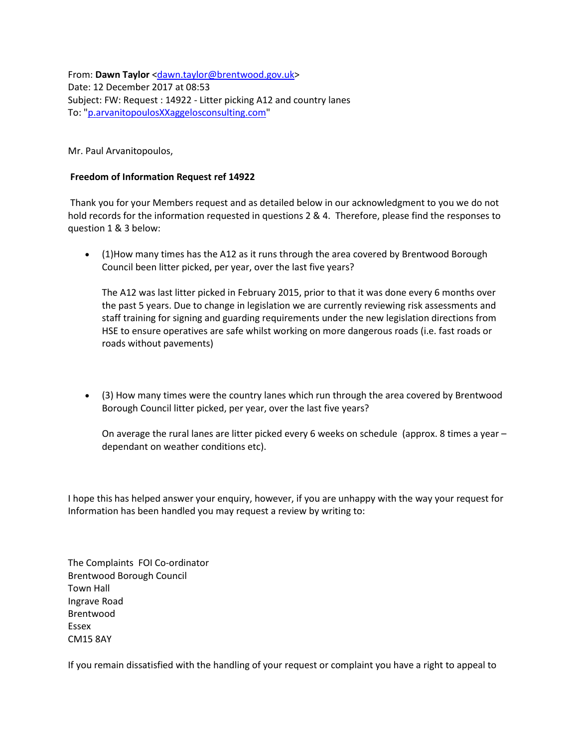From: **Dawn Taylor** [<dawn.taylor@brentwood.gov.uk>](mailto:dawn.taylor@brentwood.gov.uk) Date: 12 December 2017 at 08:53 Subject: FW: Request : 14922 - Litter picking A12 and country lanes To: ["p.arvanitopoulosXXaggelosconsulting.com"](mailto:p.arvanitopoulosXXaggelosconsulting.com)

Mr. Paul Arvanitopoulos,

## **Freedom of Information Request ref 14922**

Thank you for your Members request and as detailed below in our acknowledgment to you we do not hold records for the information requested in questions 2 & 4. Therefore, please find the responses to question 1 & 3 below:

• (1)How many times has the A12 as it runs through the area covered by Brentwood Borough Council been litter picked, per year, over the last five years?

The A12 was last litter picked in February 2015, prior to that it was done every 6 months over the past 5 years. Due to change in legislation we are currently reviewing risk assessments and staff training for signing and guarding requirements under the new legislation directions from HSE to ensure operatives are safe whilst working on more dangerous roads (i.e. fast roads or roads without pavements)

• (3) How many times were the country lanes which run through the area covered by Brentwood Borough Council litter picked, per year, over the last five years?

On average the rural lanes are litter picked every 6 weeks on schedule (approx. 8 times a year – dependant on weather conditions etc).

I hope this has helped answer your enquiry, however, if you are unhappy with the way your request for Information has been handled you may request a review by writing to:

The Complaints FOI Co-ordinator Brentwood Borough Council Town Hall Ingrave Road Brentwood Essex CM15 8AY

If you remain dissatisfied with the handling of your request or complaint you have a right to appeal to